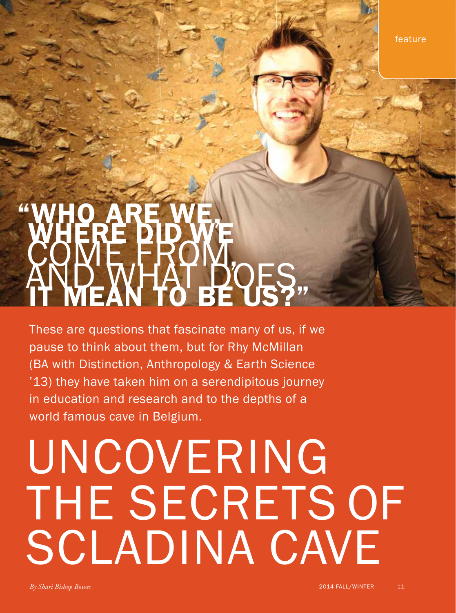feature

## "WHO ARE WE, WHO ARE DID WE<br>COME FROM, AND WOES,

These are questions that fascinate many of us, if we pause to think about them, but for Rhy McMillan (BA with Distinction, Anthropology & Earth Science '13) they have taken him on a serendipitous journey in education and research and to the depths of a world famous cave in Belgium.

## UNCOVERING THE SECRETS OF SCLADINA CAVE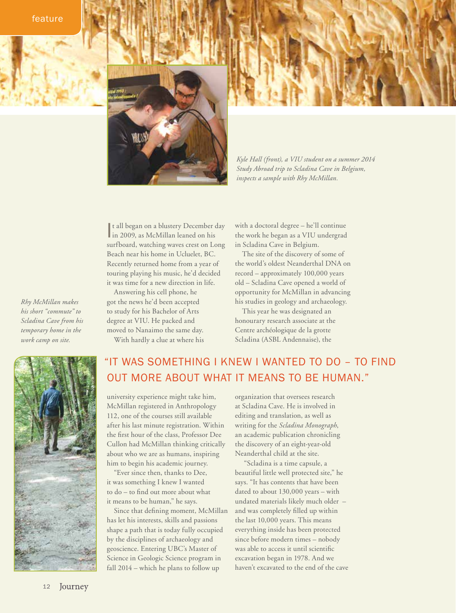feature



*Kyle Hall (front), a VIU student on a summer 2014 Study Abroad trip to Scladina Cave in Belgium, inspects a sample with Rhy McMillan.*

It all began on a blustery December day<br>in 2009, as McMillan leaned on his In 2009, as McMillan leaned on his surfboard, watching waves crest on Long Beach near his home in Ucluelet, BC. Recently returned home from a year of touring playing his music, he'd decided it was time for a new direction in life.

Answering his cell phone, he got the news he'd been accepted to study for his Bachelor of Arts degree at VIU. He packed and moved to Nanaimo the same day. With hardly a clue at where his with a doctoral degree – he'll continue the work he began as a VIU undergrad in Scladina Cave in Belgium.

The site of the discovery of some of the world's oldest Neanderthal DNA on record – approximately 100,000 years old – Scladina Cave opened a world of opportunity for McMillan in advancing his studies in geology and archaeology.

This year he was designated an honourary research associate at the Centre archéologique de la grotte Scladina (ASBL Andennaise), the

## "IT WAS SOMETHING I KNEW I WANTED TO DO – TO FIND OUT MORE ABOUT WHAT IT MEANS TO BE HUMAN."

university experience might take him, McMillan registered in Anthropology 112, one of the courses still available after his last minute registration. Within the first hour of the class, Professor Dee Cullon had McMillan thinking critically about who we are as humans, inspiring him to begin his academic journey.

"Ever since then, thanks to Dee, it was something I knew I wanted to do – to find out more about what it means to be human," he says.

Since that defining moment, McMillan has let his interests, skills and passions shape a path that is today fully occupied by the disciplines of archaeology and geoscience. Entering UBC's Master of Science in Geologic Science program in fall 2014 – which he plans to follow up

organization that oversees research at Scladina Cave. He is involved in editing and translation, as well as writing for the *Scladina Monograph*, an academic publication chronicling the discovery of an eight-year-old Neanderthal child at the site.

 "Scladina is a time capsule, a beautiful little well protected site," he says. "It has contents that have been dated to about 130,000 years – with undated materials likely much older – and was completely filled up within the last 10,000 years. This means everything inside has been protected since before modern times – nobody was able to access it until scientific excavation began in 1978. And we haven't excavated to the end of the cave

*Rhy McMillan makes his short "commute" to Scladina Cave from his temporary home in the work camp on site.*